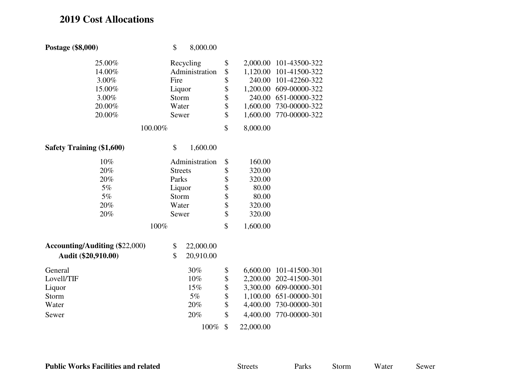## **2019 Cost Allocations**

| Postage (\$8,000)                     | \$             | 8,000.00       |    |           |                        |
|---------------------------------------|----------------|----------------|----|-----------|------------------------|
| 25.00%                                | Recycling      |                | \$ | 2,000.00  | 101-43500-322          |
| 14.00%                                |                | Administration | \$ | 1,120.00  | 101-41500-322          |
| 3.00%                                 | Fire           |                | \$ | 240.00    | 101-42260-322          |
| 15.00%                                | Liquor         |                | \$ | 1,200.00  | 609-00000-322          |
| 3.00%                                 | Storm          |                | \$ | 240.00    | 651-00000-322          |
| 20.00%                                | Water          |                | \$ | 1,600.00  | 730-00000-322          |
| 20.00%                                | Sewer          |                | \$ | 1,600.00  | 770-00000-322          |
| 100.00%                               |                |                |    | 8,000.00  |                        |
| <b>Safety Training (\$1,600)</b>      | \$             | 1,600.00       |    |           |                        |
| 10%                                   |                | Administration | \$ | 160.00    |                        |
| 20%                                   | <b>Streets</b> |                | \$ | 320.00    |                        |
| 20%                                   | Parks          |                | \$ | 320.00    |                        |
| 5%                                    | Liquor         |                |    | 80.00     |                        |
| 5%                                    | Storm          |                | \$ | 80.00     |                        |
| 20%                                   | Water          |                | \$ | 320.00    |                        |
| 20%                                   | Sewer          |                | \$ | 320.00    |                        |
| 100%                                  |                |                |    | 1,600.00  |                        |
| <b>Accounting/Auditing (\$22,000)</b> | \$             | 22,000.00      |    |           |                        |
| Audit (\$20,910.00)                   | \$             | 20,910.00      |    |           |                        |
| General                               |                | 30%            | \$ | 6,600.00  | 101-41500-301          |
| Lovell/TIF                            |                | $10\%$         | \$ | 2,200.00  | 202-41500-301          |
| Liquor                                |                | 15%            | \$ |           | 3,300.00 609-00000-301 |
| Storm                                 |                | $5\%$          | \$ | 1,100.00  | 651-00000-301          |
| Water                                 |                | 20%            | \$ | 4,400.00  | 730-00000-301          |
| Sewer                                 |                | 20%            | \$ | 4,400.00  | 770-00000-301          |
|                                       |                | 100%           | \$ | 22,000.00 |                        |